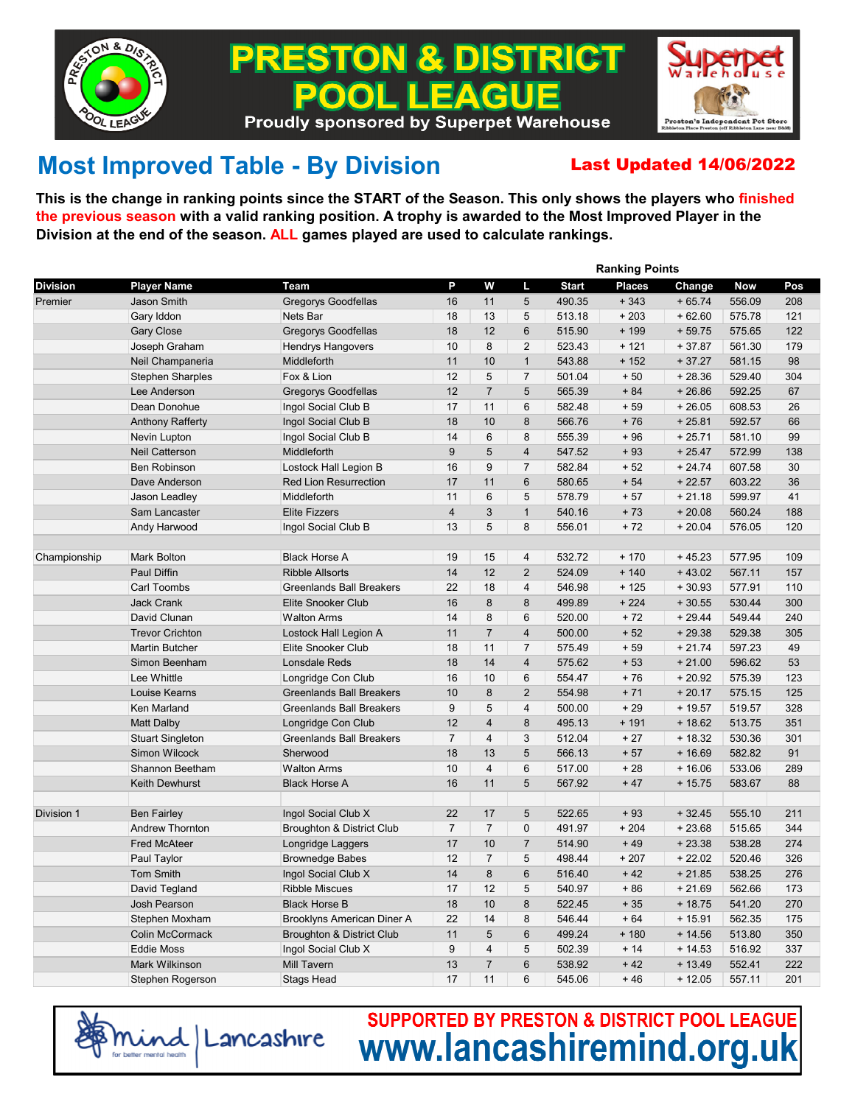

## ON & DISTRICT PRE EACUE **Proudly sponsored by Superpet Warehouse**



## **Most Improved Table - By Division** Last Updated 14/06/2022

**This is the change in ranking points since the START of the Season. This only shows the players who finished the previous season with a valid ranking position. A trophy is awarded to the Most Improved Player in the Division at the end of the season. ALL games played are used to calculate rankings.**

|                 |                         |                                      | <b>Ranking Points</b> |                         |                |              |               |          |            |     |  |
|-----------------|-------------------------|--------------------------------------|-----------------------|-------------------------|----------------|--------------|---------------|----------|------------|-----|--|
| <b>Division</b> | <b>Player Name</b>      | Team                                 | P                     | W                       | Ш              | <b>Start</b> | <b>Places</b> | Change   | <b>Now</b> | Pos |  |
| Premier         | Jason Smith             | <b>Gregorys Goodfellas</b>           | 16                    | 11                      | 5              | 490.35       | $+343$        | $+65.74$ | 556.09     | 208 |  |
|                 | Gary Iddon              | Nets Bar                             | 18                    | 13                      | 5              | 513.18       | $+203$        | $+62.60$ | 575.78     | 121 |  |
|                 | Gary Close              | <b>Gregorys Goodfellas</b>           | 18                    | 12                      | 6              | 515.90       | $+199$        | $+59.75$ | 575.65     | 122 |  |
|                 | Joseph Graham           | <b>Hendrys Hangovers</b>             | 10                    | 8                       | $\overline{2}$ | 523.43       | $+121$        | $+37.87$ | 561.30     | 179 |  |
|                 | Neil Champaneria        | Middleforth                          | 11                    | 10                      | $\mathbf{1}$   | 543.88       | $+152$        | $+37.27$ | 581.15     | 98  |  |
|                 | <b>Stephen Sharples</b> | Fox & Lion                           | 12                    | 5                       | $\overline{7}$ | 501.04       | $+50$         | $+28.36$ | 529.40     | 304 |  |
|                 | Lee Anderson            | Gregorys Goodfellas                  | 12                    | $\overline{7}$          | 5              | 565.39       | $+84$         | $+26.86$ | 592.25     | 67  |  |
|                 | Dean Donohue            | Ingol Social Club B                  | 17                    | 11                      | 6              | 582.48       | $+59$         | $+26.05$ | 608.53     | 26  |  |
|                 | <b>Anthony Rafferty</b> | Ingol Social Club B                  | 18                    | 10                      | 8              | 566.76       | $+76$         | $+25.81$ | 592.57     | 66  |  |
|                 | Nevin Lupton            | Ingol Social Club B                  | 14                    | 6                       | 8              | 555.39       | $+96$         | $+25.71$ | 581.10     | 99  |  |
|                 | Neil Catterson          | Middleforth                          | $9\,$                 | 5                       | 4              | 547.52       | $+93$         | $+25.47$ | 572.99     | 138 |  |
|                 | <b>Ben Robinson</b>     | Lostock Hall Legion B                | 16                    | 9                       | $\overline{7}$ | 582.84       | $+52$         | $+24.74$ | 607.58     | 30  |  |
|                 | Dave Anderson           | <b>Red Lion Resurrection</b>         | 17                    | 11                      | 6              | 580.65       | $+54$         | $+22.57$ | 603.22     | 36  |  |
|                 | Jason Leadley           | Middleforth                          | 11                    | 6                       | 5              | 578.79       | $+57$         | $+21.18$ | 599.97     | 41  |  |
|                 | Sam Lancaster           | <b>Elite Fizzers</b>                 | $\overline{4}$        | 3                       | $\mathbf{1}$   | 540.16       | $+73$         | $+20.08$ | 560.24     | 188 |  |
|                 | Andy Harwood            | Ingol Social Club B                  | 13                    | 5                       | 8              | 556.01       | $+72$         | $+20.04$ | 576.05     | 120 |  |
|                 |                         |                                      |                       |                         |                |              |               |          |            |     |  |
| Championship    | Mark Bolton             | <b>Black Horse A</b>                 | 19                    | 15                      | 4              | 532.72       | $+170$        | $+45.23$ | 577.95     | 109 |  |
|                 | Paul Diffin             | <b>Ribble Allsorts</b>               | 14                    | 12                      | $\overline{2}$ | 524.09       | $+140$        | $+43.02$ | 567.11     | 157 |  |
|                 | Carl Toombs             | <b>Greenlands Ball Breakers</b>      | 22                    | 18                      | 4              | 546.98       | $+125$        | $+30.93$ | 577.91     | 110 |  |
|                 | <b>Jack Crank</b>       | Elite Snooker Club                   | 16                    | 8                       | 8              | 499.89       | $+224$        | $+30.55$ | 530.44     | 300 |  |
|                 | David Clunan            | <b>Walton Arms</b>                   | 14                    | 8                       | 6              | 520.00       | $+72$         | $+29.44$ | 549.44     | 240 |  |
|                 | <b>Trevor Crichton</b>  | Lostock Hall Legion A                | 11                    | $\overline{7}$          | 4              | 500.00       | $+52$         | $+29.38$ | 529.38     | 305 |  |
|                 | <b>Martin Butcher</b>   | <b>Elite Snooker Club</b>            | 18                    | 11                      | $\overline{7}$ | 575.49       | $+59$         | $+21.74$ | 597.23     | 49  |  |
|                 | Simon Beenham           | <b>Lonsdale Reds</b>                 | 18                    | 14                      | $\overline{4}$ | 575.62       | $+53$         | $+21.00$ | 596.62     | 53  |  |
|                 | Lee Whittle             | Longridge Con Club                   | 16                    | 10                      | 6              | 554.47       | $+76$         | $+20.92$ | 575.39     | 123 |  |
|                 | Louise Kearns           | <b>Greenlands Ball Breakers</b>      | 10                    | 8                       | $\overline{2}$ | 554.98       | $+71$         | $+20.17$ | 575.15     | 125 |  |
|                 | Ken Marland             | <b>Greenlands Ball Breakers</b>      | 9                     | 5                       | 4              | 500.00       | $+29$         | $+19.57$ | 519.57     | 328 |  |
|                 | Matt Dalby              | Longridge Con Club                   | 12                    | $\overline{4}$          | 8              | 495.13       | $+191$        | $+18.62$ | 513.75     | 351 |  |
|                 | <b>Stuart Singleton</b> | <b>Greenlands Ball Breakers</b>      | $\overline{7}$        | $\overline{4}$          | 3              | 512.04       | $+27$         | $+18.32$ | 530.36     | 301 |  |
|                 | <b>Simon Wilcock</b>    | Sherwood                             | 18                    | 13                      | 5              | 566.13       | $+57$         | $+16.69$ | 582.82     | 91  |  |
|                 | Shannon Beetham         | <b>Walton Arms</b>                   | 10                    | $\overline{4}$          | 6              | 517.00       | $+28$         | $+16.06$ | 533.06     | 289 |  |
|                 | Keith Dewhurst          | <b>Black Horse A</b>                 | 16                    | 11                      | 5              | 567.92       | $+47$         | $+15.75$ | 583.67     | 88  |  |
|                 |                         |                                      |                       |                         |                |              |               |          |            |     |  |
| Division 1      | <b>Ben Fairley</b>      | Ingol Social Club X                  | 22                    | 17                      | 5              | 522.65       | $+93$         | $+32.45$ | 555.10     | 211 |  |
|                 | <b>Andrew Thornton</b>  | Broughton & District Club            | $\overline{7}$        | $\overline{7}$          | 0              | 491.97       | $+204$        | $+23.68$ | 515.65     | 344 |  |
|                 | <b>Fred McAteer</b>     | Longridge Laggers                    | 17                    | 10                      | $\overline{7}$ | 514.90       | $+49$         | $+23.38$ | 538.28     | 274 |  |
|                 | Paul Taylor             | <b>Brownedge Babes</b>               | 12                    | $\overline{7}$          | 5              | 498.44       | $+207$        | $+22.02$ | 520.46     | 326 |  |
|                 | Tom Smith               | Ingol Social Club X                  | 14                    | 8                       | 6              | 516.40       | $+42$         | $+21.85$ | 538.25     | 276 |  |
|                 | David Tegland           | <b>Ribble Miscues</b>                | 17                    | 12                      | 5              | 540.97       | $+86$         | $+21.69$ | 562.66     | 173 |  |
|                 | <b>Josh Pearson</b>     | <b>Black Horse B</b>                 | 18                    | 10                      | 8              | 522.45       | $+35$         | $+18.75$ | 541.20     | 270 |  |
|                 | Stephen Moxham          | Brooklyns American Diner A           | 22                    | 14                      | 8              | 546.44       | $+64$         | $+15.91$ | 562.35     | 175 |  |
|                 | <b>Colin McCormack</b>  | <b>Broughton &amp; District Club</b> | 11                    | 5                       | 6              | 499.24       | $+180$        | $+14.56$ | 513.80     | 350 |  |
|                 | <b>Eddie Moss</b>       | Ingol Social Club X                  | 9                     | $\overline{\mathbf{4}}$ | 5              | 502.39       | $+14$         | $+14.53$ | 516.92     | 337 |  |
|                 | Mark Wilkinson          | <b>Mill Tavern</b>                   | 13                    | $\overline{7}$          | 6              | 538.92       | $+42$         | $+13.49$ | 552.41     | 222 |  |
|                 | Stephen Rogerson        | <b>Stags Head</b>                    | 17                    | 11                      | 6              | 545.06       | $+46$         | $+12.05$ | 557.11     | 201 |  |



**SUPPORTED BY PRESTON & DISTRICT POOL LEAGUE** www.lancashiremind.org.uk